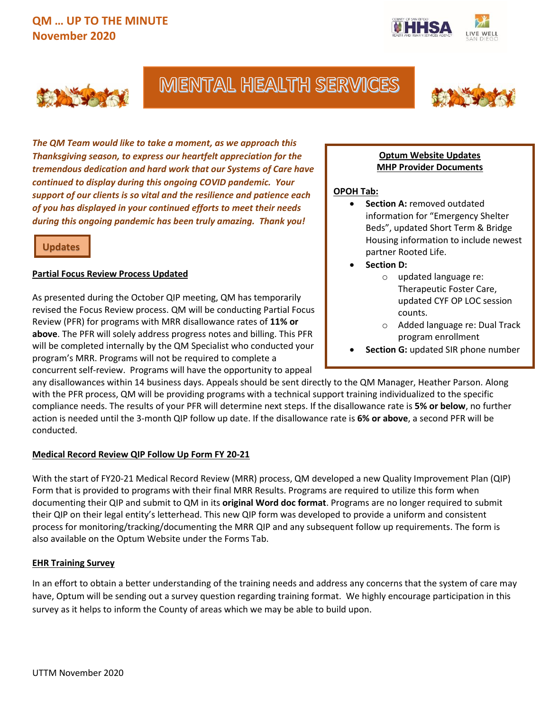



# **MENTAL HEALTH SERVICES**



*The QM Team would like to take a moment, as we approach this Thanksgiving season, to express our heartfelt appreciation for the tremendous dedication and hard work that our Systems of Care have continued to display during this ongoing COVID pandemic. Your support of our clients is so vital and the resilience and patience each of you has displayed in your continued efforts to meet their needs during this ongoing pandemic has been truly amazing. Thank you!* 

## **Updates**

### **Partial Focus Review Process Updated**

As presented during the October QIP meeting, QM has temporarily revised the Focus Review process. QM will be conducting Partial Focus Review (PFR) for programs with MRR disallowance rates of **11% or above**. The PFR will solely address progress notes and billing. This PFR will be completed internally by the QM Specialist who conducted your program's MRR. Programs will not be required to complete a concurrent self-review. Programs will have the opportunity to appeal

#### **Optum Website Updates MHP Provider Documents**

### **OPOH Tab:**

- **Section A: removed outdated** information for "Emergency Shelter Beds", updated Short Term & Bridge Housing information to include newest partner Rooted Life.
- **Section D:**
	- o updated language re: Therapeutic Foster Care, updated CYF OP LOC session counts.
	- o Added language re: Dual Track program enrollment
- **Section G:** updated SIR phone number

any disallowances within 14 business days. Appeals should be sent directly to the QM Manager, Heather Parson. Along with the PFR process, QM will be providing programs with a technical support training individualized to the specific compliance needs. The results of your PFR will determine next steps. If the disallowance rate is **5% or below**, no further action is needed until the 3-month QIP follow up date. If the disallowance rate is **6% or above**, a second PFR will be conducted.

## **Medical Record Review QIP Follow Up Form FY 20-21**

With the start of FY20-21 Medical Record Review (MRR) process, QM developed a new Quality Improvement Plan (QIP) Form that is provided to programs with their final MRR Results. Programs are required to utilize this form when documenting their QIP and submit to QM in its **original Word doc format**. Programs are no longer required to submit their QIP on their legal entity's letterhead. This new QIP form was developed to provide a uniform and consistent process for monitoring/tracking/documenting the MRR QIP and any subsequent follow up requirements. The form is also available on the Optum Website under the Forms Tab.

#### **EHR Training Survey**

In an effort to obtain a better understanding of the training needs and address any concerns that the system of care may have, Optum will be sending out a survey question regarding training format. We highly encourage participation in this survey as it helps to inform the County of areas which we may be able to build upon.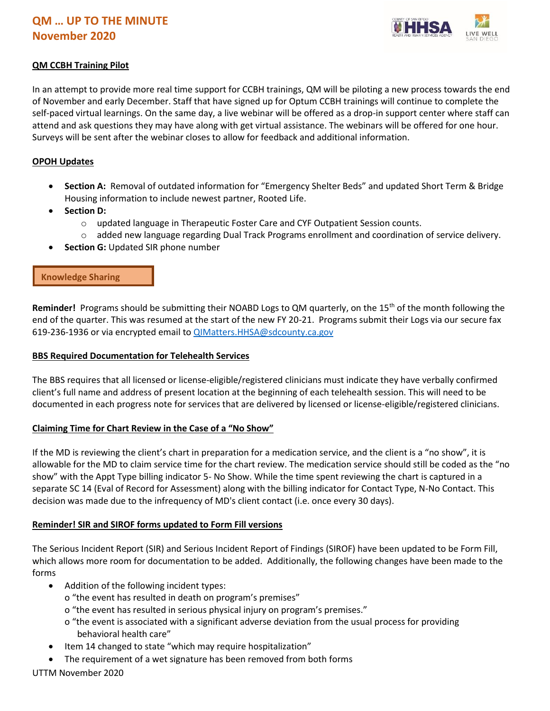

## **QM CCBH Training Pilot**

In an attempt to provide more real time support for CCBH trainings, QM will be piloting a new process towards the end of November and early December. Staff that have signed up for Optum CCBH trainings will continue to complete the self-paced virtual learnings. On the same day, a live webinar will be offered as a drop-in support center where staff can attend and ask questions they may have along with get virtual assistance. The webinars will be offered for one hour. Surveys will be sent after the webinar closes to allow for feedback and additional information.

#### **OPOH Updates**

- **Section A:** Removal of outdated information for "Emergency Shelter Beds" and updated Short Term & Bridge Housing information to include newest partner, Rooted Life.
- **Section D:** 
	- o updated language in Therapeutic Foster Care and CYF Outpatient Session counts.
	- o added new language regarding Dual Track Programs enrollment and coordination of service delivery.
- **Section G: Updated SIR phone number**

### **Knowledge Sharing**

Reminder! Programs should be submitting their NOABD Logs to QM quarterly, on the 15<sup>th</sup> of the month following the end of the quarter. This was resumed at the start of the new FY 20-21. Programs submit their Logs via our secure fax 619-236-1936 or via encrypted email to [QIMatters.HHSA@sdcounty.ca.gov](mailto:QIMatters.HHSA@sdcounty.ca.gov) 

#### **BBS Required Documentation for Telehealth Services**

The BBS requires that all licensed or license-eligible/registered clinicians must indicate they have verbally confirmed client's full name and address of present location at the beginning of each telehealth session. This will need to be documented in each progress note for services that are delivered by licensed or license-eligible/registered clinicians.

#### **Claiming Time for Chart Review in the Case of a "No Show"**

If the MD is reviewing the client's chart in preparation for a medication service, and the client is a "no show", it is allowable for the MD to claim service time for the chart review. The medication service should still be coded as the "no show" with the Appt Type billing indicator 5- No Show. While the time spent reviewing the chart is captured in a separate SC 14 (Eval of Record for Assessment) along with the billing indicator for Contact Type, N-No Contact. This decision was made due to the infrequency of MD's client contact (i.e. once every 30 days).

#### **Reminder! SIR and SIROF forms updated to Form Fill versions**

The Serious Incident Report (SIR) and Serious Incident Report of Findings (SIROF) have been updated to be Form Fill, which allows more room for documentation to be added. Additionally, the following changes have been made to the forms

- Addition of the following incident types:
	- o "the event has resulted in death on program's premises"
	- o "the event has resulted in serious physical injury on program's premises."
	- o "the event is associated with a significant adverse deviation from the usual process for providing behavioral health care"
- Item 14 changed to state "which may require hospitalization"
- The requirement of a wet signature has been removed from both forms

#### UTTM November 2020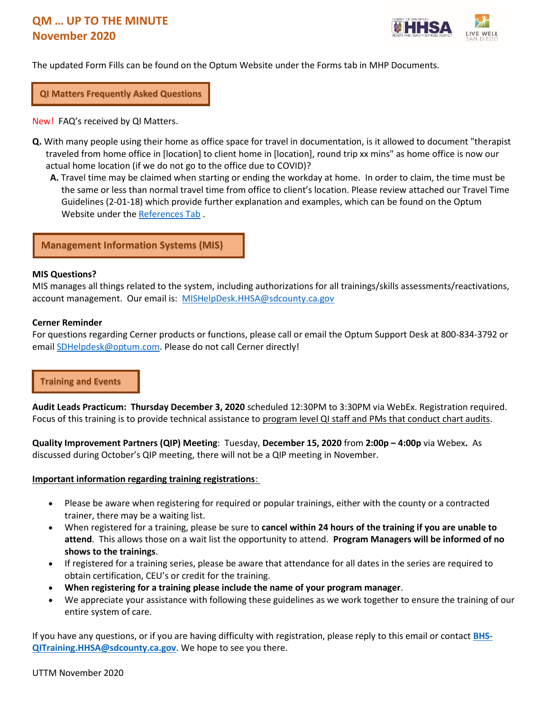

The updated Form Fills can be found on the Optum Website under the Forms tab in MHP Documents.

**QI Matters Frequently Asked Questions**

New! FAQ's received by QI Matters.

- **Q.** With many people using their home as office space for travel in documentation, is it allowed to document "therapist traveled from home office in [location] to client home in [location], round trip xx mins" as home office is now our actual home location (if we do not go to the office due to COVID)?
	- **A.** Travel time may be claimed when starting or ending the workday at home. In order to claim, the time must be the same or less than normal travel time from office to client's location. Please review attached our Travel Time Guidelines (2-01-18) which provide further explanation and examples, which can be found on the Optum Website under th[e References Tab](https://www.optumsandiego.com/content/SanDiego/sandiego/en/county-staff---providers/orgpublicdocs.html) .

**Management Information Systems (MIS)**

#### **MIS Questions?**

MIS manages all things related to the system, including authorizations for all trainings/skills assessments/reactivations, account management. Our email is: [MISHelpDesk.HHSA@sdcounty.ca.gov](mailto:MISHelpDesk.HHSA@sdcounty.ca.gov)

#### **Cerner Reminder**

For questions regarding Cerner products or functions, please call or email the Optum Support Desk at 800-834-3792 or email **SDHelpdesk@optum.com.** Please do not call Cerner directly!

#### **Training and Events**

**Audit Leads Practicum: Thursday December 3, 2020** scheduled 12:30PM to 3:30PM via WebEx. Registration required. Focus of this training is to provide technical assistance to program level QI staff and PMs that conduct chart audits.

**Quality Improvement Partners (QIP) Meeting**: Tuesday, **December 15, 2020** from **2:00p – 4:00p** via Webex**.** As discussed during October's QIP meeting, there will not be a QIP meeting in November.

#### **Important information regarding training registrations**:

- Please be aware when registering for required or popular trainings, either with the county or a contracted trainer, there may be a waiting list.
- When registered for a training, please be sure to **cancel within 24 hours of the training if you are unable to attend**. This allows those on a wait list the opportunity to attend. **Program Managers will be informed of no shows to the trainings**.
- If registered for a training series, please be aware that attendance for all dates in the series are required to obtain certification, CEU's or credit for the training.
- **When registering for a training please include the name of your program manager**.
- We appreciate your assistance with following these guidelines as we work together to ensure the training of our entire system of care.

If you have any questions, or if you are having difficulty with registration, please reply to this email or contact **[BHS-](mailto:BHS-QITraining.HHSA@sdcounty.ca.gov)[QITraining.HHSA@sdcounty.ca.gov](mailto:BHS-QITraining.HHSA@sdcounty.ca.gov)**. We hope to see you there.